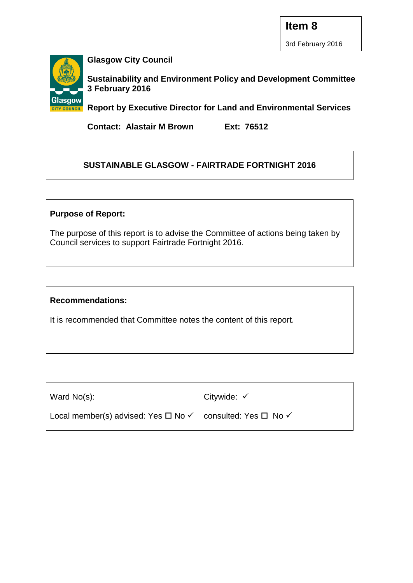

**Glasgow City Council**

**Sustainability and Environment Policy and Development Committee 3 February 2016**

**Report by Executive Director for Land and Environmental Services**

**Contact: Alastair M Brown Ext: 76512**

# **SUSTAINABLE GLASGOW - FAIRTRADE FORTNIGHT 2016**

## **Purpose of Report:**

The purpose of this report is to advise the Committee of actions being taken by Council services to support Fairtrade Fortnight 2016.

#### **Recommendations:**

It is recommended that Committee notes the content of this report.

Ward No(s):

Citywide:  $\checkmark$ 

Local member(s) advised: Yes  $\Box$  No  $\checkmark$  consulted: Yes  $\Box$  No  $\checkmark$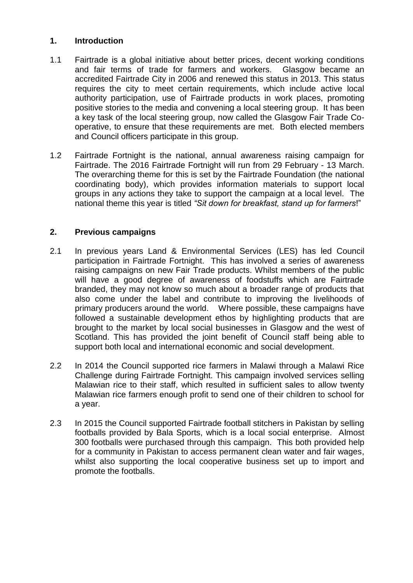## **1. Introduction**

- 1.1 Fairtrade is a global initiative about better prices, decent working conditions and fair terms of trade for farmers and workers. Glasgow became an accredited Fairtrade City in 2006 and renewed this status in 2013. This status requires the city to meet certain requirements, which include active local authority participation, use of Fairtrade products in work places, promoting positive stories to the media and convening a local steering group. It has been a key task of the local steering group, now called the Glasgow Fair Trade Cooperative, to ensure that these requirements are met. Both elected members and Council officers participate in this group.
- 1.2 Fairtrade Fortnight is the national, annual awareness raising campaign for Fairtrade. The 2016 Fairtrade Fortnight will run from 29 February - 13 March. The overarching theme for this is set by the Fairtrade Foundation (the national coordinating body), which provides information materials to support local groups in any actions they take to support the campaign at a local level. The national theme this year is titled *"Sit down for breakfast, stand up for farmers*!"

## **2. Previous campaigns**

- 2.1 In previous years Land & Environmental Services (LES) has led Council participation in Fairtrade Fortnight. This has involved a series of awareness raising campaigns on new Fair Trade products. Whilst members of the public will have a good degree of awareness of foodstuffs which are Fairtrade branded, they may not know so much about a broader range of products that also come under the label and contribute to improving the livelihoods of primary producers around the world. Where possible, these campaigns have followed a sustainable development ethos by highlighting products that are brought to the market by local social businesses in Glasgow and the west of Scotland. This has provided the joint benefit of Council staff being able to support both local and international economic and social development.
- 2.2 In 2014 the Council supported rice farmers in Malawi through a Malawi Rice Challenge during Fairtrade Fortnight. This campaign involved services selling Malawian rice to their staff, which resulted in sufficient sales to allow twenty Malawian rice farmers enough profit to send one of their children to school for a year.
- 2.3 In 2015 the Council supported Fairtrade football stitchers in Pakistan by selling footballs provided by Bala Sports, which is a local social enterprise. Almost 300 footballs were purchased through this campaign. This both provided help for a community in Pakistan to access permanent clean water and fair wages, whilst also supporting the local cooperative business set up to import and promote the footballs.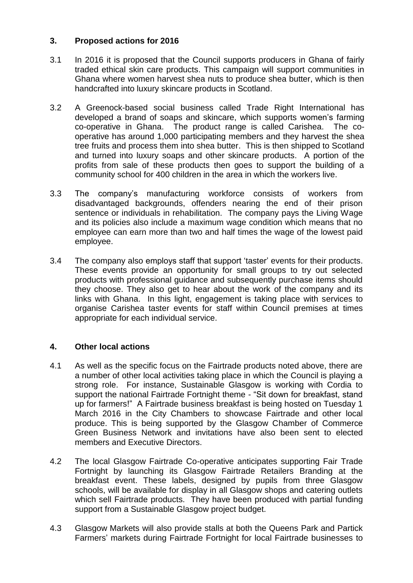## **3. Proposed actions for 2016**

- 3.1 In 2016 it is proposed that the Council supports producers in Ghana of fairly traded ethical skin care products. This campaign will support communities in Ghana where women harvest shea nuts to produce shea butter, which is then handcrafted into luxury skincare products in Scotland.
- 3.2 A Greenock-based social business called Trade Right International has developed a brand of soaps and skincare, which supports women's farming co-operative in Ghana. The product range is called Carishea. The cooperative has around 1,000 participating members and they harvest the shea tree fruits and process them into shea butter. This is then shipped to Scotland and turned into luxury soaps and other skincare products. A portion of the profits from sale of these products then goes to support the building of a community school for 400 children in the area in which the workers live.
- 3.3 The company's manufacturing workforce consists of workers from disadvantaged backgrounds, offenders nearing the end of their prison sentence or individuals in rehabilitation. The company pays the Living Wage and its policies also include a maximum wage condition which means that no employee can earn more than two and half times the wage of the lowest paid employee.
- 3.4 The company also employs staff that support 'taster' events for their products. These events provide an opportunity for small groups to try out selected products with professional guidance and subsequently purchase items should they choose. They also get to hear about the work of the company and its links with Ghana. In this light, engagement is taking place with services to organise Carishea taster events for staff within Council premises at times appropriate for each individual service.

## **4. Other local actions**

- 4.1 As well as the specific focus on the Fairtrade products noted above, there are a number of other local activities taking place in which the Council is playing a strong role. For instance, Sustainable Glasgow is working with Cordia to support the national Fairtrade Fortnight theme - "Sit down for breakfast, stand up for farmers!" A Fairtrade business breakfast is being hosted on Tuesday 1 March 2016 in the City Chambers to showcase Fairtrade and other local produce. This is being supported by the Glasgow Chamber of Commerce Green Business Network and invitations have also been sent to elected members and Executive Directors.
- 4.2 The local Glasgow Fairtrade Co-operative anticipates supporting Fair Trade Fortnight by launching its Glasgow Fairtrade Retailers Branding at the breakfast event. These labels, designed by pupils from three Glasgow schools, will be available for display in all Glasgow shops and catering outlets which sell Fairtrade products. They have been produced with partial funding support from a Sustainable Glasgow project budget.
- 4.3 Glasgow Markets will also provide stalls at both the Queens Park and Partick Farmers' markets during Fairtrade Fortnight for local Fairtrade businesses to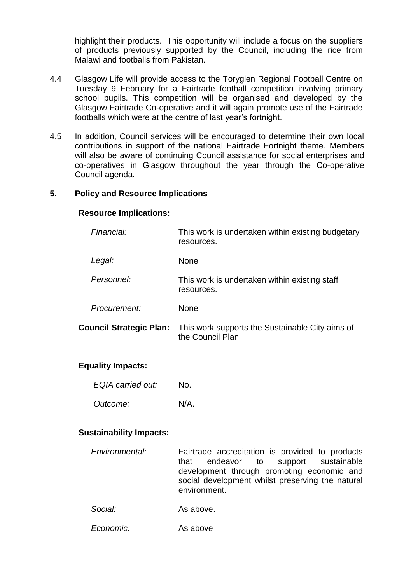highlight their products. This opportunity will include a focus on the suppliers of products previously supported by the Council, including the rice from Malawi and footballs from Pakistan.

- 4.4 Glasgow Life will provide access to the Toryglen Regional Football Centre on Tuesday 9 February for a Fairtrade football competition involving primary school pupils. This competition will be organised and developed by the Glasgow Fairtrade Co-operative and it will again promote use of the Fairtrade footballs which were at the centre of last year's fortnight.
- 4.5 In addition, Council services will be encouraged to determine their own local contributions in support of the national Fairtrade Fortnight theme. Members will also be aware of continuing Council assistance for social enterprises and co-operatives in Glasgow throughout the year through the Co-operative Council agenda.

#### **5. Policy and Resource Implications**

#### **Resource Implications:**

| Financial:                     | This work is undertaken within existing budgetary<br>resources.     |  |
|--------------------------------|---------------------------------------------------------------------|--|
| Legal:                         | None                                                                |  |
| Personnel:                     | This work is undertaken within existing staff<br>resources.         |  |
| Procurement:                   | None                                                                |  |
| <b>Council Strategic Plan:</b> | This work supports the Sustainable City aims of<br>the Council Plan |  |

#### **Equality Impacts:**

| <b>EQIA</b> carried out: | No. |
|--------------------------|-----|
|                          |     |

*Outcome:* N/A.

#### **Sustainability Impacts:**

- *Environmental:* Fairtrade accreditation is provided to products that endeavor to support sustainable development through promoting economic and social development whilst preserving the natural environment.
- *Social:* As above.
- *Economic:* As above